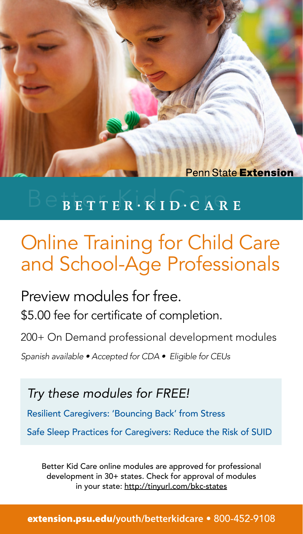**Penn State Extension** 

## $B E T T E R \cdot K I D \cdot C A R E$

## Online Training for Child Care and School-Age Professionals

Preview modules for free. \$5.00 fee for certificate of completion.

200+ On Demand professional development modules

*Spanish available • Accepted for CDA • Eligible for CEUs*

*Try these modules for FREE!*

Resilient Caregivers: 'Bouncing Back' from Stress

Safe Sleep Practices for Caregivers: Reduce the Risk of SUID

Better Kid Care online modules are approved for professional development in 30+ states. Check for approval of modules in your state: http://tinyurl.com/bkc-states

[extension.psu.edu/](http://extension.psu.edu/youth/betterkidcare)**youth/betterkidcare** • 800-452-9108